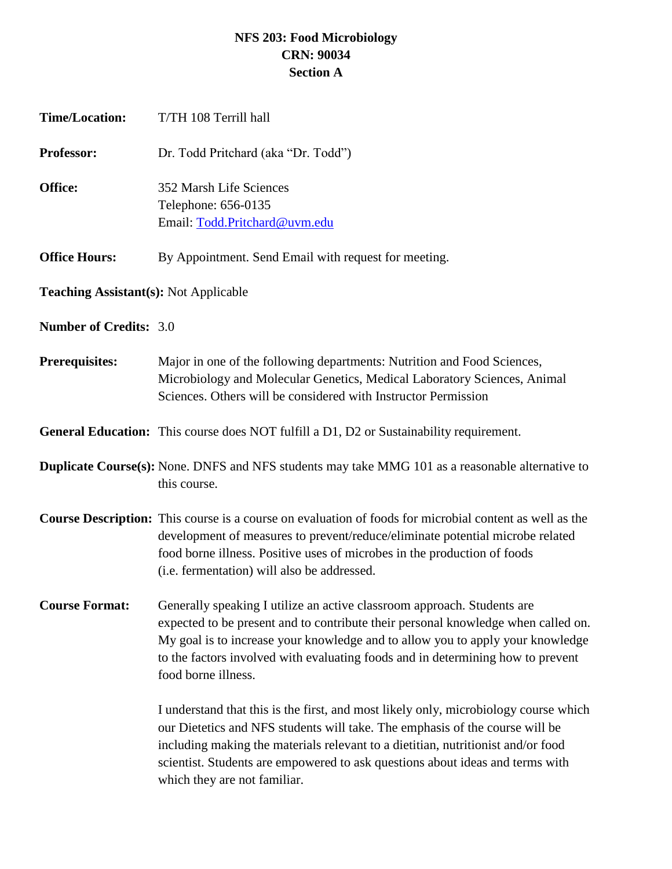## **NFS 203: Food Microbiology CRN: 90034 Section A**

| <b>Time/Location:</b>                        | T/TH 108 Terrill hall                                                                                                                                                                                                                                                                                                                                                     |
|----------------------------------------------|---------------------------------------------------------------------------------------------------------------------------------------------------------------------------------------------------------------------------------------------------------------------------------------------------------------------------------------------------------------------------|
| Professor:                                   | Dr. Todd Pritchard (aka "Dr. Todd")                                                                                                                                                                                                                                                                                                                                       |
| Office:                                      | 352 Marsh Life Sciences<br>Telephone: 656-0135<br>Email: Todd.Pritchard@uvm.edu                                                                                                                                                                                                                                                                                           |
| <b>Office Hours:</b>                         | By Appointment. Send Email with request for meeting.                                                                                                                                                                                                                                                                                                                      |
| <b>Teaching Assistant(s): Not Applicable</b> |                                                                                                                                                                                                                                                                                                                                                                           |
| <b>Number of Credits: 3.0</b>                |                                                                                                                                                                                                                                                                                                                                                                           |
| <b>Prerequisites:</b>                        | Major in one of the following departments: Nutrition and Food Sciences,<br>Microbiology and Molecular Genetics, Medical Laboratory Sciences, Animal<br>Sciences. Others will be considered with Instructor Permission                                                                                                                                                     |
|                                              | <b>General Education:</b> This course does NOT fulfill a D1, D2 or Sustainability requirement.                                                                                                                                                                                                                                                                            |
|                                              | <b>Duplicate Course(s):</b> None. DNFS and NFS students may take MMG 101 as a reasonable alternative to<br>this course.                                                                                                                                                                                                                                                   |
|                                              | <b>Course Description:</b> This course is a course on evaluation of foods for microbial content as well as the<br>development of measures to prevent/reduce/eliminate potential microbe related<br>food borne illness. Positive uses of microbes in the production of foods<br>(i.e. fermentation) will also be addressed.                                                |
| <b>Course Format:</b>                        | Generally speaking I utilize an active classroom approach. Students are<br>expected to be present and to contribute their personal knowledge when called on.<br>My goal is to increase your knowledge and to allow you to apply your knowledge<br>to the factors involved with evaluating foods and in determining how to prevent<br>food borne illness.                  |
|                                              | I understand that this is the first, and most likely only, microbiology course which<br>our Dietetics and NFS students will take. The emphasis of the course will be<br>including making the materials relevant to a dietitian, nutritionist and/or food<br>scientist. Students are empowered to ask questions about ideas and terms with<br>which they are not familiar. |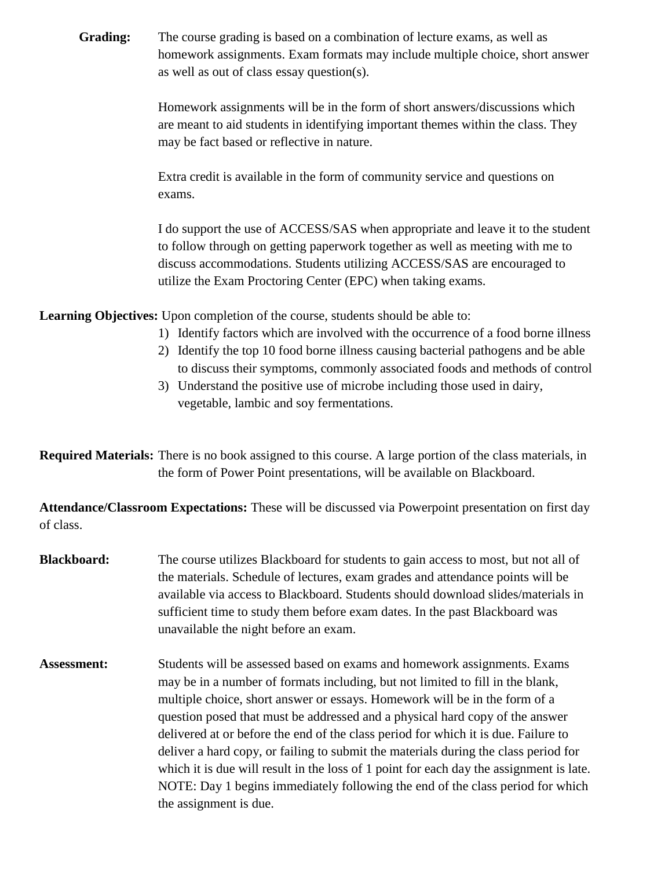**Grading:** The course grading is based on a combination of lecture exams, as well as homework assignments. Exam formats may include multiple choice, short answer as well as out of class essay question(s).

> Homework assignments will be in the form of short answers/discussions which are meant to aid students in identifying important themes within the class. They may be fact based or reflective in nature.

Extra credit is available in the form of community service and questions on exams.

I do support the use of ACCESS/SAS when appropriate and leave it to the student to follow through on getting paperwork together as well as meeting with me to discuss accommodations. Students utilizing ACCESS/SAS are encouraged to utilize the Exam Proctoring Center (EPC) when taking exams.

**Learning Objectives:** Upon completion of the course, students should be able to:

- 1) Identify factors which are involved with the occurrence of a food borne illness
- 2) Identify the top 10 food borne illness causing bacterial pathogens and be able to discuss their symptoms, commonly associated foods and methods of control
- 3) Understand the positive use of microbe including those used in dairy, vegetable, lambic and soy fermentations.

**Required Materials:** There is no book assigned to this course. A large portion of the class materials, in the form of Power Point presentations, will be available on Blackboard.

**Attendance/Classroom Expectations:** These will be discussed via Powerpoint presentation on first day of class.

- **Blackboard:** The course utilizes Blackboard for students to gain access to most, but not all of the materials. Schedule of lectures, exam grades and attendance points will be available via access to Blackboard. Students should download slides/materials in sufficient time to study them before exam dates. In the past Blackboard was unavailable the night before an exam.
- Assessment: Students will be assessed based on exams and homework assignments. Exams may be in a number of formats including, but not limited to fill in the blank, multiple choice, short answer or essays. Homework will be in the form of a question posed that must be addressed and a physical hard copy of the answer delivered at or before the end of the class period for which it is due. Failure to deliver a hard copy, or failing to submit the materials during the class period for which it is due will result in the loss of 1 point for each day the assignment is late. NOTE: Day 1 begins immediately following the end of the class period for which the assignment is due.